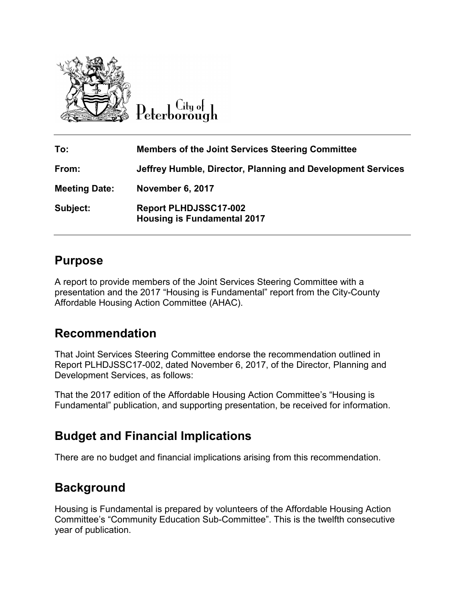

Citu of Peterborough

**To: Members of the Joint Services Steering Committee From: Jeffrey Humble, Director, Planning and Development Services Meeting Date: November 6, 2017 Subject: Report PLHDJSSC17-002 Housing is Fundamental 2017** 

#### **Purpose**

A report to provide members of the Joint Services Steering Committee with a presentation and the 2017 "Housing is Fundamental" report from the City-County Affordable Housing Action Committee (AHAC).

### **Recommendation**

That Joint Services Steering Committee endorse the recommendation outlined in Report PLHDJSSC17-002, dated November 6, 2017, of the Director, Planning and Development Services, as follows:

That the 2017 edition of the Affordable Housing Action Committee's "Housing is Fundamental" publication, and supporting presentation, be received for information.

# **Budget and Financial Implications**

There are no budget and financial implications arising from this recommendation.

# **Background**

Housing is Fundamental is prepared by volunteers of the Affordable Housing Action Committee's "Community Education Sub-Committee". This is the twelfth consecutive year of publication.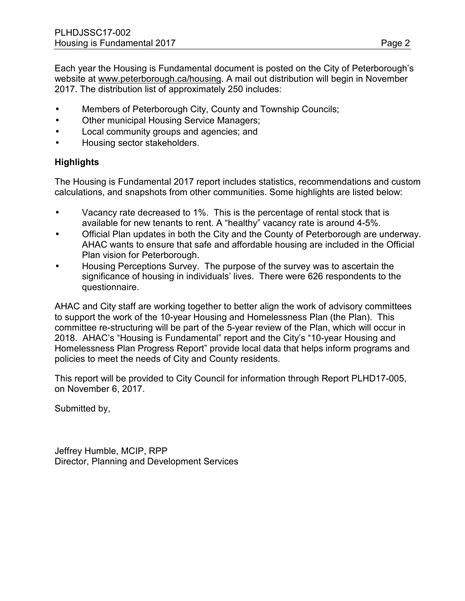Each year the Housing is Fundamental document is posted on the City of Peterborough's website at [www.peterborough.ca/housing](http://www.peterborough.ca/housing). A mail out distribution will begin in November 2017. The distribution list of approximately 250 includes:

- Members of Peterborough City, County and Township Councils;
- Other municipal Housing Service Managers;
- Local community groups and agencies; and
- Housing sector stakeholders.

#### **Highlights**

The Housing is Fundamental 2017 report includes statistics, recommendations and custom calculations, and snapshots from other communities. Some highlights are listed below:

- Vacancy rate decreased to 1%. This is the percentage of rental stock that is available for new tenants to rent. A "healthy" vacancy rate is around 4-5%.
- Official Plan updates in both the City and the County of Peterborough are underway. AHAC wants to ensure that safe and affordable housing are included in the Official Plan vision for Peterborough.
- Housing Perceptions Survey. The purpose of the survey was to ascertain the significance of housing in individuals' lives. There were 626 respondents to the questionnaire.

AHAC and City staff are working together to better align the work of advisory committees to support the work of the 10-year Housing and Homelessness Plan (the Plan). This committee re-structuring will be part of the 5-year review of the Plan, which will occur in 2018. AHAC's "Housing is Fundamental" report and the City's "10-year Housing and Homelessness Plan Progress Report" provide local data that helps inform programs and policies to meet the needs of City and County residents.

This report will be provided to City Council for information through Report PLHD17-005, on November 6, 2017.

Submitted by,

Jeffrey Humble, MCIP, RPP Director, Planning and Development Services